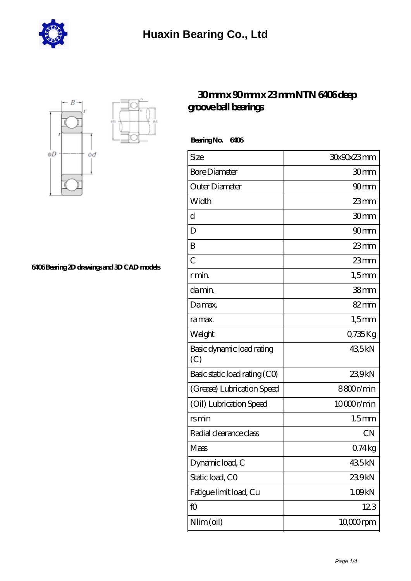



**[6406 Bearing 2D drawings and 3D CAD models](https://m.hurtwoodmedia.com/pic-4137.html)**

## **[30 mm x 90 mm x 23 mm NTN 6406 deep](https://m.hurtwoodmedia.com/ar-4137-ntn-6406-deep-groove-ball-bearings.html) [groove ball bearings](https://m.hurtwoodmedia.com/ar-4137-ntn-6406-deep-groove-ball-bearings.html)**

 **Bearing No. 6406**

| 30x90x23mm        |
|-------------------|
| 30mm              |
| 90mm              |
| $23$ mm           |
| 30 <sub>mm</sub>  |
| 90 <sub>mm</sub>  |
| 23mm              |
| 23mm              |
| $1,5$ mm          |
| 38 <sub>mm</sub>  |
| 82mm              |
| $1,5$ mm          |
| 0,735Kg           |
| 435kN             |
| 239kN             |
| 8800r/min         |
| 10000r/min        |
| 1.5 <sub>mm</sub> |
| <b>CN</b>         |
| 074 kg            |
| 435kN             |
| 239kN             |
| 1.09kN            |
| 123               |
| 10,000rpm         |
|                   |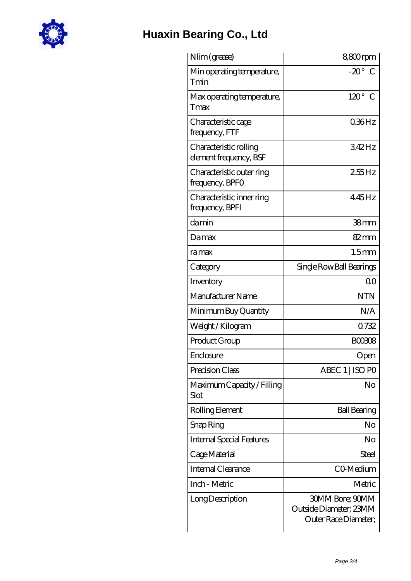

## **[Huaxin Bearing Co., Ltd](https://m.hurtwoodmedia.com)**

| Nlim (grease)                                    | 8800rpm                                                                  |
|--------------------------------------------------|--------------------------------------------------------------------------|
| Min operating temperature,<br>Tmin               | $-20^{\circ}$<br>C                                                       |
| Max operating temperature,<br>Tmax               | $120^\circ$<br>C                                                         |
| Characteristic cage<br>frequency, FTF            | $0.36$ Hz                                                                |
| Characteristic rolling<br>element frequency, BSF | 342Hz                                                                    |
| Characteristic outer ring<br>frequency, BPFO     | $255$ Hz                                                                 |
| Characteristic inner ring<br>frequency, BPFI     | 445Hz                                                                    |
| damin                                            | 38 <sub>mm</sub>                                                         |
| Damax                                            | 82mm                                                                     |
| ramax                                            | 1.5 <sub>mm</sub>                                                        |
| Category                                         | Single Row Ball Bearings                                                 |
| Inventory                                        | 0 <sup>0</sup>                                                           |
| Manufacturer Name                                | <b>NTN</b>                                                               |
| Minimum Buy Quantity                             | N/A                                                                      |
| Weight/Kilogram                                  | 0732                                                                     |
| Product Group                                    | <b>BOO308</b>                                                            |
| Enclosure                                        | Open                                                                     |
| Precision Class                                  | ABEC 1   ISO PO                                                          |
| Maximum Capacity / Filling<br>Slot               | No                                                                       |
| Rolling Element                                  | <b>Ball Bearing</b>                                                      |
| Snap Ring                                        | No                                                                       |
| <b>Internal Special Features</b>                 | No                                                                       |
| Cage Material                                    | Steel                                                                    |
| <b>Internal Clearance</b>                        | CO <sub>Medium</sub>                                                     |
| Inch - Metric                                    | Metric                                                                   |
| Long Description                                 | <b>30MM Bore; 90MM</b><br>Outside Diameter; 23MM<br>Outer Race Diameter; |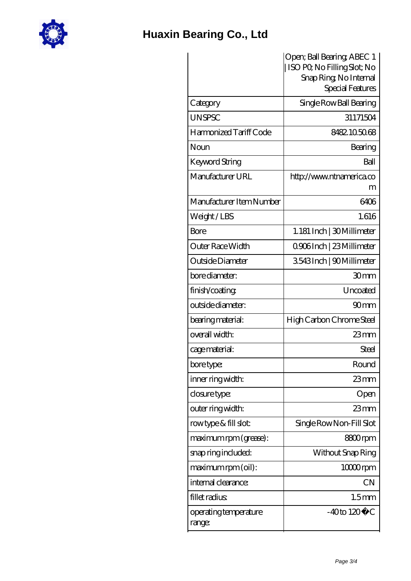

## **[Huaxin Bearing Co., Ltd](https://m.hurtwoodmedia.com)**

|                                 | Open; Ball Bearing; ABEC 1<br>ISO PO, No Filling Slot; No |
|---------------------------------|-----------------------------------------------------------|
|                                 | Snap Ring, No Internal                                    |
|                                 | Special Features                                          |
| Category                        | Single Row Ball Bearing                                   |
| <b>UNSPSC</b>                   | 31171504                                                  |
| Harmonized Tariff Code          | 8482105068                                                |
| Noun                            | Bearing                                                   |
| Keyword String                  | Ball                                                      |
| Manufacturer URL                | http://www.ntnamerica.co<br>m                             |
| Manufacturer Item Number        | 6406                                                      |
| Weight/LBS                      | 1.616                                                     |
| Bore                            | 1.181 Inch   30 Millimeter                                |
| Outer Race Width                | Q906Inch   23 Millimeter                                  |
| Outside Diameter                | 3543Inch   90Millimeter                                   |
| bore diameter:                  | 30 <sub>mm</sub>                                          |
| finish/coating                  | Uncoated                                                  |
| outside diameter:               | 90 <sub>mm</sub>                                          |
| bearing material:               | High Carbon Chrome Steel                                  |
| overall width:                  | $23$ mm                                                   |
| cage material:                  | <b>Steel</b>                                              |
| bore type:                      | Round                                                     |
| inner ring width:               | $23$ mm                                                   |
| closure type:                   | Open                                                      |
| outer ring width:               | $23$ mm                                                   |
| rowtype & fill slot:            | Single Row Non-Fill Slot                                  |
| maximum rpm (grease):           | 8800rpm                                                   |
| snap ring included:             | Without Snap Ring                                         |
| maximum rpm (oil):              | $1000$ rpm                                                |
| internal clearance:             | <b>CN</b>                                                 |
| fillet radius                   | 1.5 <sub>mm</sub>                                         |
| operating temperature<br>range: | $-40$ to $120^{\circ}$ C                                  |